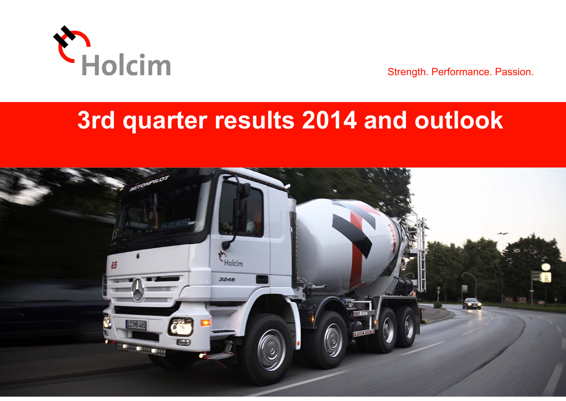

Strength. Performance. Passion.

# **3rd quarter results 2014 and outlook**

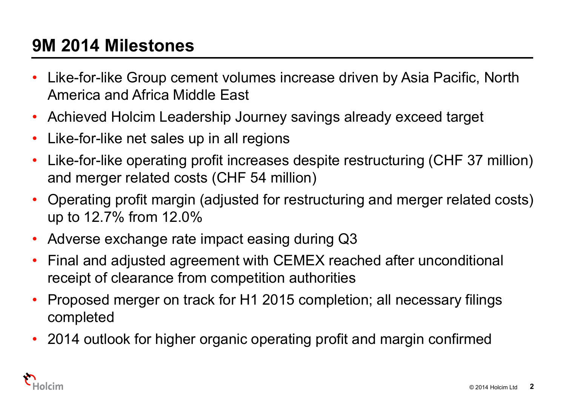# **9M 2014 Milestones**

- • Like-for-like Group cement volumes increase driven by Asia Pacific, North America and Africa Middle East
- $\bullet$ Achieved Holcim Leadership Journey savings already exceed target
- •Like-for-like net sales up in all regions
- • Like-for-like operating profit increases despite restructuring (CHF 37 million) and merger related costs (CHF 54 million)
- • Operating profit margin (adjusted for restructuring and merger related costs) up to 12.7% from 12.0%
- •Adverse exchange rate impact easing during Q3
- • Final and adjusted agreement with CEMEX reached after unconditional receipt of clearance from competition authorities
- $\bullet$  Proposed merger on track for H1 2015 completion; all necessary filings completed
- 2014 outlook for higher organic operating profit and margin confirmed

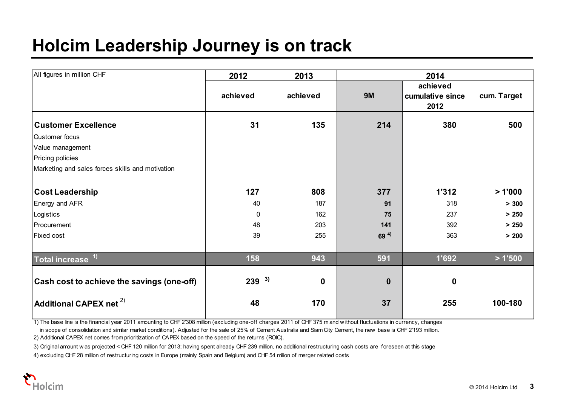# **Holcim Leadership Journey is on track**

| All figures in million CHF                          | 2012      | 2013             | 2014            |                                      |             |
|-----------------------------------------------------|-----------|------------------|-----------------|--------------------------------------|-------------|
|                                                     | achieved  | achieved         | <b>9M</b>       | achieved<br>cumulative since<br>2012 | cum. Target |
| <b>Customer Excellence</b>                          | 31        | 135              | 214             | 380                                  | 500         |
| Customer focus                                      |           |                  |                 |                                      |             |
| Value management                                    |           |                  |                 |                                      |             |
| Pricing policies                                    |           |                  |                 |                                      |             |
| Marketing and sales forces skills and motivation    |           |                  |                 |                                      |             |
| <b>Cost Leadership</b>                              | 127       | 808              | 377             | 1'312                                | >1'000      |
| Energy and AFR                                      | 40        | 187              | 91              | 318                                  | > 300       |
| Logistics                                           | 0         | 162              | 75              | 237                                  | > 250       |
| Procurement                                         | 48        | 203              | 141             | 392                                  | > 250       |
| <b>Fixed cost</b>                                   | 39        | 255              | 69 <sup>4</sup> | 363                                  | > 200       |
| Total increase <sup>1)</sup>                        | 158       | 943              | 591             | 1'692                                | >1'500      |
| Cash cost to achieve the savings (one-off)          | 3)<br>239 | $\boldsymbol{0}$ | $\mathbf{0}$    | $\mathbf 0$                          |             |
| $\overline{\mathsf{A}}$ dditional CAPEX net $^{2)}$ | 48        | 170              | 37              | 255                                  | 100-180     |

1) The base line is the financial year 2011 amounting to CHF 2'308 million (excluding one-off charges 2011 of CHF 375 m and w ithout fluctuations in currency, changes

in scope of consolidation and similar market conditions). Adjusted for the sale of 25% of Cement Australia and Siam City Cement, the new base is CHF 2'193 million.

2) Additional CAPEX net comes from prioritization of CAPEX based on the speed of the returns (ROIC).

3) Original amount w as projected < CHF 120 million for 2013; having spent already CHF 239 million, no additional restructuring cash costs are foreseen at this stage

4) excluding CHF 28 million of restructuring costs in Europe (mainly Spain and Belgium) and CHF 54 milion of merger related costs

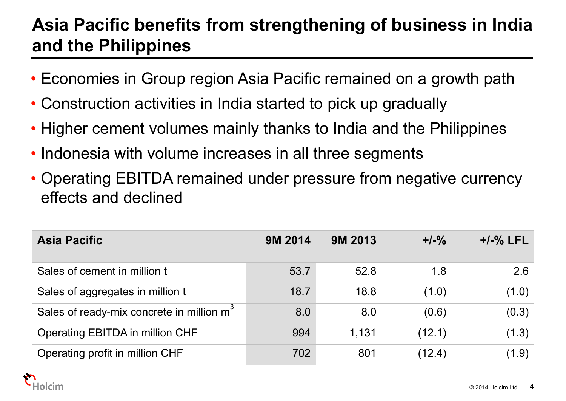# **Asia Pacific benefits from strengthening of business in India and the Philippines**

- Economies in Group region Asia Pacific remained on a growth path
- Construction activities in India started to pick up gradually
- Higher cement volumes mainly thanks to India and the Philippines
- Indonesia with volume increases in all three segments
- Operating EBITDA remained under pressure from negative currency effects and declined

| <b>Asia Pacific</b>                                   | <b>9M 2014</b> | <b>9M 2013</b> | $+/-\%$ | $+/-%$ LFL |
|-------------------------------------------------------|----------------|----------------|---------|------------|
| Sales of cement in million t                          | 53.7           | 52.8           | 1.8     | 2.6        |
| Sales of aggregates in million t                      | 18.7           | 18.8           | (1.0)   | (1.0)      |
| Sales of ready-mix concrete in million m <sup>3</sup> | 8.0            | 8.0            | (0.6)   | (0.3)      |
| Operating EBITDA in million CHF                       | 994            | 1.131          | (12.1)  | (1.3)      |
| Operating profit in million CHF                       | 702            | 801            | (12.4)  | (1.9)      |

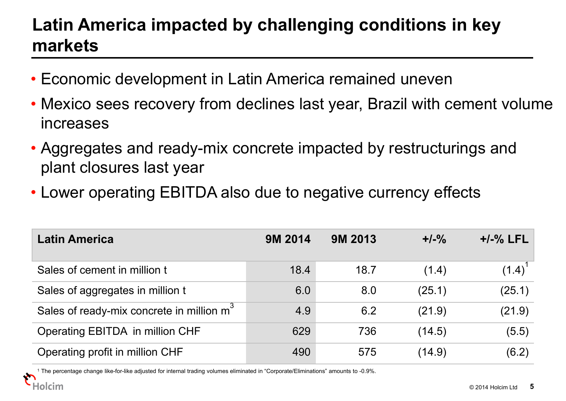# **Latin America impacted by challenging conditions in key markets**

- Economic development in Latin America remained uneven
- Mexico sees recovery from declines last year, Brazil with cement volume increases
- Aggregates and ready-mix concrete impacted by restructurings and plant closures last year
- Lower operating EBITDA also due to negative currency effects

| <b>Latin America</b>                                  | <b>9M 2014</b> | <b>9M 2013</b> | $+/-\%$ | $+/-%$ LFL |
|-------------------------------------------------------|----------------|----------------|---------|------------|
| Sales of cement in million t                          | 18.4           | 18.7           | (1.4)   | (1.4)      |
| Sales of aggregates in million t                      | 6.0            | 8.0            | (25.1)  | (25.1)     |
| Sales of ready-mix concrete in million m <sup>3</sup> | 4.9            | 6.2            | (21.9)  | (21.9)     |
| Operating EBITDA in million CHF                       | 629            | 736            | (14.5)  | (5.5)      |
| Operating profit in million CHF                       | 490            | 575            | (14.9)  | (6.2)      |

1like-for-like adjusted for internal trading volumes eliminated in "Corporate/Eliminations" amounts to -0.9%.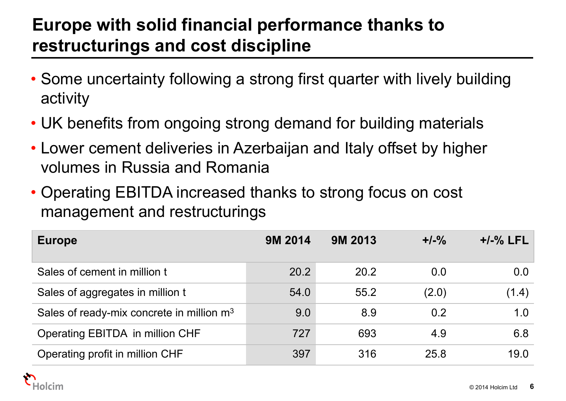# **Europe with solid financial performance thanks to restructurings and cost discipline**

- Some uncertainty following a strong first quarter with lively building activity
- UK benefits from ongoing strong demand for building materials
- Lower cement deliveries in Azerbaijan and Italy offset by higher volumes in Russia and Romania
- Operating EBITDA increased thanks to strong focus on cost management and restructurings

| <b>Europe</b>                                         | <b>9M 2014</b> | <b>9M 2013</b> | $+/-\%$ | $+/-%$ LFL |
|-------------------------------------------------------|----------------|----------------|---------|------------|
| Sales of cement in million t                          | 20.2           | 20.2           | 0.0     | 0.0        |
| Sales of aggregates in million t                      | 54.0           | 55.2           | (2.0)   | (1.4)      |
| Sales of ready-mix concrete in million m <sup>3</sup> | 9.0            | 8.9            | 0.2     | 1.0        |
| Operating EBITDA in million CHF                       | 727            | 693            | 4.9     | 6.8        |
| Operating profit in million CHF                       | 397            | 316            | 25.8    | 19.0       |

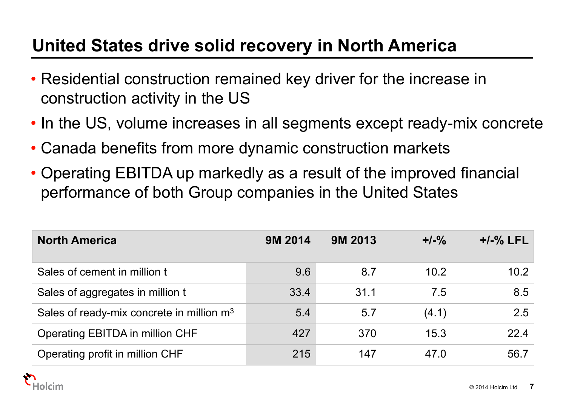# **United States drive solid recovery in North America**

- Residential construction remained key driver for the increase in construction activity in the US
- In the US, volume increases in all segments except ready-mix concrete
- Canada benefits from more dynamic construction markets
- Operating EBITDA up markedly as a result of the improved financial performance of both Group companies in the United States

| <b>North America</b>                                  | <b>9M 2014</b> | <b>9M 2013</b> | $+/-\%$ | $+/-\%$ LFL |
|-------------------------------------------------------|----------------|----------------|---------|-------------|
| Sales of cement in million t                          | 9.6            | 8.7            | 10.2    | 10.2        |
| Sales of aggregates in million t                      | 33.4           | 31.1           | 7.5     | 8.5         |
| Sales of ready-mix concrete in million m <sup>3</sup> | 5.4            | 5.7            | (4.1)   | 2.5         |
| Operating EBITDA in million CHF                       | 427            | 370            | 15.3    | 22.4        |
| Operating profit in million CHF                       | 215            | 147            | 47.0    | 56.7        |

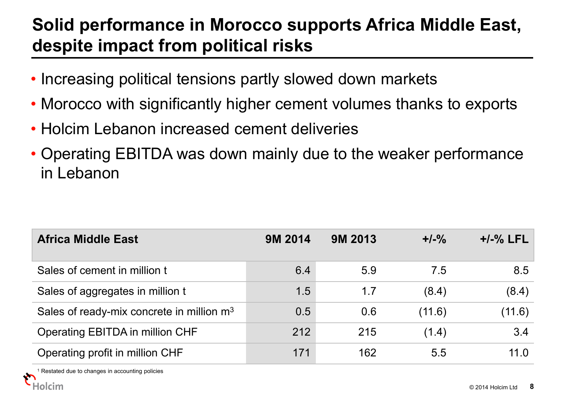# **Solid performance in Morocco supports Africa Middle East, despite impact from political risks**

- Increasing political tensions partly slowed down markets
- Morocco with significantly higher cement volumes thanks to exports
- Holcim Lebanon increased cement deliveries
- Operating EBITDA was down mainly due to the weaker performance in Lebanon

| <b>Africa Middle East</b>                             | <b>9M 2014</b> | <b>9M 2013</b> | $+/-\%$ | $+/-%$ LFL |
|-------------------------------------------------------|----------------|----------------|---------|------------|
| Sales of cement in million t                          | 6.4            | 5.9            | 7.5     | 8.5        |
| Sales of aggregates in million t                      | 1.5            | 1.7            | (8.4)   | (8.4)      |
| Sales of ready-mix concrete in million m <sup>3</sup> | 0.5            | 0.6            | (11.6)  | (11.6)     |
| Operating EBITDA in million CHF                       | 212            | 215            | (1.4)   | 3.4        |
| Operating profit in million CHF                       | 171            | 162            | 5.5     | 11.0       |

1Restated due to changes in accounting policies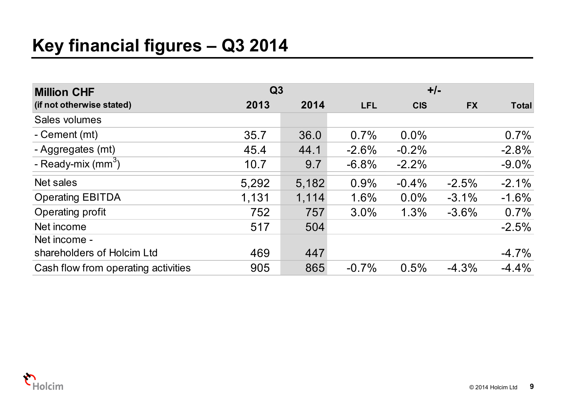# **Key financial figures – Q3 2014**

| <b>Million CHF</b>                  | Q3    |       |            | $+/-$      |           |              |
|-------------------------------------|-------|-------|------------|------------|-----------|--------------|
| (if not otherwise stated)           | 2013  | 2014  | <b>LFL</b> | <b>CIS</b> | <b>FX</b> | <b>Total</b> |
| Sales volumes                       |       |       |            |            |           |              |
| - Cement (mt)                       | 35.7  | 36.0  | 0.7%       | $0.0\%$    |           | 0.7%         |
| - Aggregates (mt)                   | 45.4  | 44.1  | $-2.6%$    | $-0.2%$    |           | $-2.8%$      |
| - Ready-mix $(mm3)$                 | 10.7  | 9.7   | $-6.8%$    | $-2.2%$    |           | $-9.0\%$     |
| Net sales                           | 5,292 | 5,182 | 0.9%       | $-0.4\%$   | $-2.5%$   | $-2.1%$      |
| <b>Operating EBITDA</b>             | 1,131 | 1,114 | 1.6%       | $0.0\%$    | $-3.1%$   | $-1.6%$      |
| Operating profit                    | 752   | 757   | 3.0%       | 1.3%       | $-3.6%$   | 0.7%         |
| Net income                          | 517   | 504   |            |            |           | $-2.5%$      |
| Net income -                        |       |       |            |            |           |              |
| shareholders of Holcim Ltd          | 469   | 447   |            |            |           | $-4.7%$      |
| Cash flow from operating activities | 905   | 865   | $-0.7%$    | 0.5%       | $-4.3%$   | $-4.4%$      |

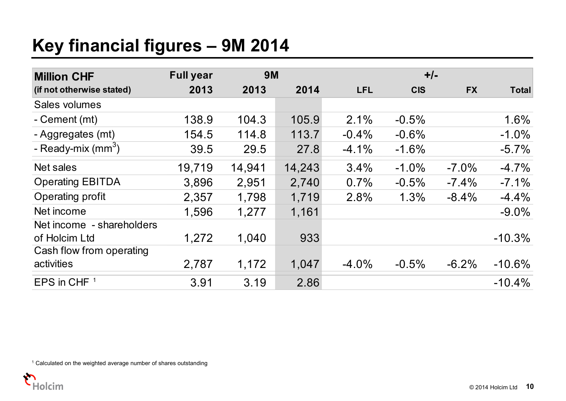# **Key financial figures – 9M 2014**

| <b>Million CHF</b>        | <b>Full year</b> | <b>9M</b> |        |            | $+/-$      |           |              |
|---------------------------|------------------|-----------|--------|------------|------------|-----------|--------------|
| (if not otherwise stated) | 2013             | 2013      | 2014   | <b>LFL</b> | <b>CIS</b> | <b>FX</b> | <b>Total</b> |
| Sales volumes             |                  |           |        |            |            |           |              |
| - Cement (mt)             | 138.9            | 104.3     | 105.9  | 2.1%       | $-0.5%$    |           | 1.6%         |
| - Aggregates (mt)         | 154.5            | 114.8     | 113.7  | $-0.4%$    | $-0.6%$    |           | $-1.0%$      |
| - Ready-mix $(mm3)$       | 39.5             | 29.5      | 27.8   | $-4.1%$    | $-1.6%$    |           | $-5.7\%$     |
| Net sales                 | 19,719           | 14,941    | 14,243 | 3.4%       | $-1.0%$    | $-7.0\%$  | $-4.7%$      |
| <b>Operating EBITDA</b>   | 3,896            | 2,951     | 2,740  | 0.7%       | $-0.5%$    | $-7.4%$   | $-7.1%$      |
| Operating profit          | 2,357            | 1,798     | 1,719  | 2.8%       | 1.3%       | $-8.4%$   | $-4.4%$      |
| Net income                | 1,596            | 1,277     | 1,161  |            |            |           | $-9.0\%$     |
| Net income - shareholders |                  |           |        |            |            |           |              |
| of Holcim Ltd             | 1,272            | 1,040     | 933    |            |            |           | $-10.3%$     |
| Cash flow from operating  |                  |           |        |            |            |           |              |
| activities                | 2,787            | 1,172     | 1,047  | $-4.0%$    | $-0.5%$    | $-6.2%$   | $-10.6\%$    |
| EPS in CHF $1$            | 3.91             | 3.19      | 2.86   |            |            |           | $-10.4%$     |

<sup>1</sup> Calculated on the weighted average number of shares outstanding

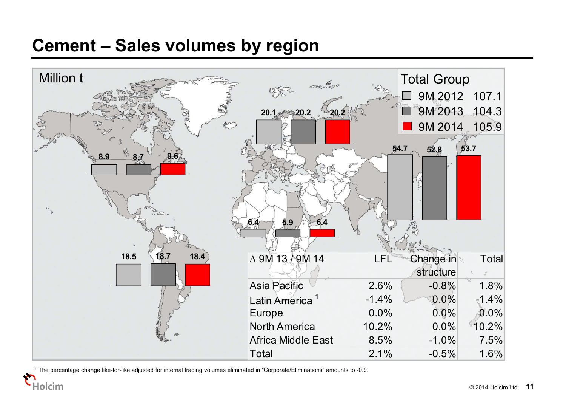#### **Cement – Sales volumes by region**



1 The percentage change like-for-like adjusted for internal trading volumes eliminated in "Corporate/Eliminations" amounts to -0.9.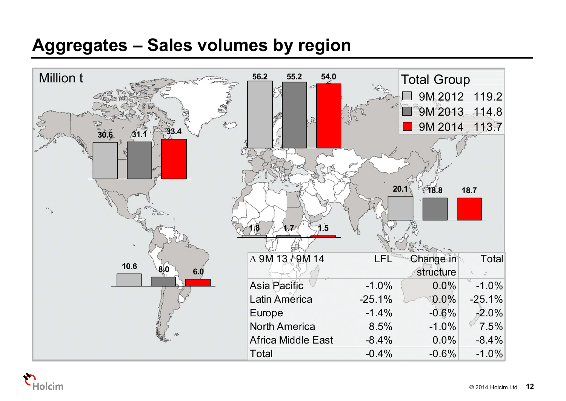## **Aggregates – Sales volumes by region**



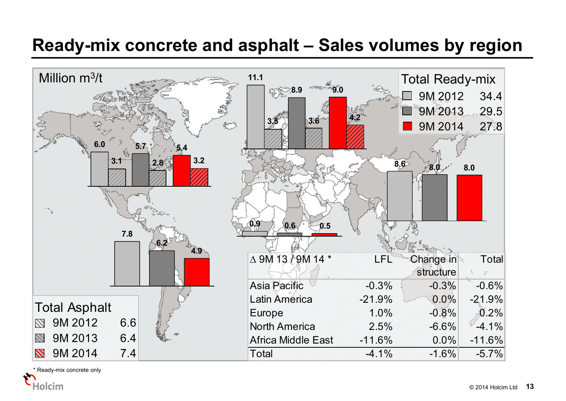#### **Ready-mix concrete and asphalt – Sales volumes by region**



\* Ready-mix concrete only

Holcim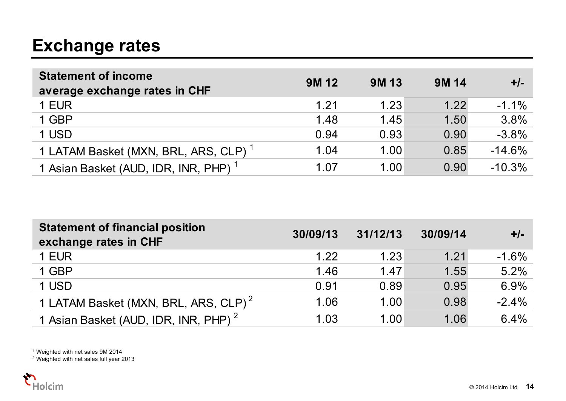# **Exchange rates**

| <b>Statement of income</b><br>average exchange rates in CHF | <b>9M12</b> | <b>9M13</b> | <b>9M14</b> | $+/-$    |
|-------------------------------------------------------------|-------------|-------------|-------------|----------|
| 1 EUR                                                       | 1.21        | 1.23        | 1.22        | $-1.1\%$ |
| 1 GBP                                                       | 1.48        | 1.45        | 1.50        | 3.8%     |
| 1 USD                                                       | 0.94        | 0.93        | 0.90        | $-3.8%$  |
| 1 LATAM Basket (MXN, BRL, ARS, CLP) <sup>1</sup>            | 1.04        | 1.00        | 0.85        | $-14.6%$ |
| 1 Asian Basket (AUD, IDR, INR, PHP) <sup>1</sup>            | 1.07        | 1.00        | 0.90        | $-10.3%$ |

| <b>Statement of financial position</b><br>exchange rates in CHF | 30/09/13 | 31/12/13 | 30/09/14 | $+/-$    |
|-----------------------------------------------------------------|----------|----------|----------|----------|
| 1 EUR                                                           | 1.22     | 1.23     | 1.21     | $-1.6\%$ |
| 1 GBP                                                           | 1.46     | 1.47     | 1.55     | 5.2%     |
| 1 USD                                                           | 0.91     | 0.89     | 0.95     | 6.9%     |
| 1 LATAM Basket (MXN, BRL, ARS, CLP) <sup>2</sup>                | 1.06     | 1.00     | 0.98     | $-2.4%$  |
| 1 Asian Basket (AUD, IDR, INR, PHP) <sup>2</sup>                | 1.03     | 1.00     | 1.06     | 6.4%     |

1 Weighted with net sales 9M 2014 2 Weighted with net sales full year 2013

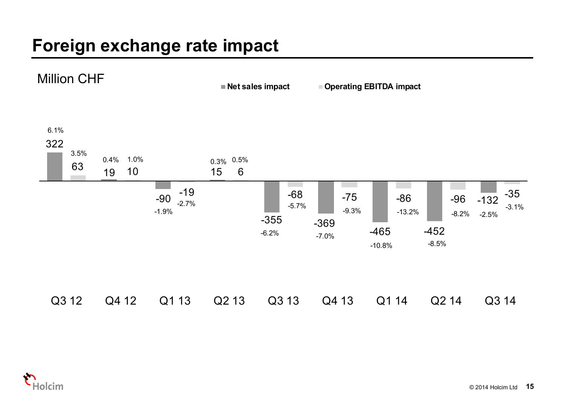# **Foreign exchange rate impact**



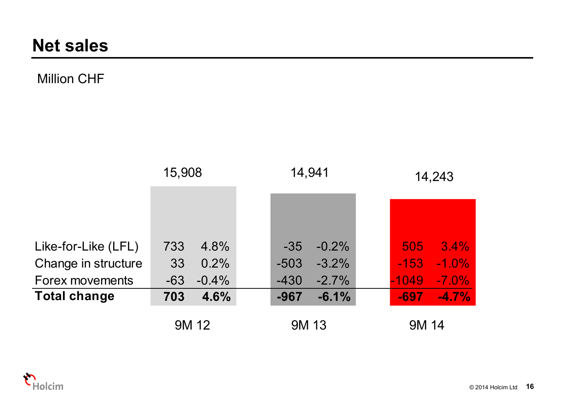#### Million CHF

|                                        | 15,908                          | 14,941                                 | 14,243                                   |  |
|----------------------------------------|---------------------------------|----------------------------------------|------------------------------------------|--|
|                                        |                                 |                                        |                                          |  |
|                                        |                                 |                                        |                                          |  |
| Like-for-Like (LFL)                    | 4.8%<br>733<br>0.2%             | $-0.2\%$<br>$-35$<br>$-3.2\%$          | $3.4\%$<br>505<br>$-1.0\%$<br>$-153$     |  |
| Change in structure                    | 33                              | $-503$                                 |                                          |  |
| Forex movements<br><b>Total change</b> | $-0.4%$<br>$-63$<br>4.6%<br>703 | $-2.7%$<br>$-430$<br>$-6.1%$<br>$-967$ | $-7.0\%$<br>$-1049$<br>$-4.7%$<br>$-697$ |  |
|                                        |                                 |                                        |                                          |  |
|                                        | 9M 12                           | 9M 13                                  | 9M 14                                    |  |

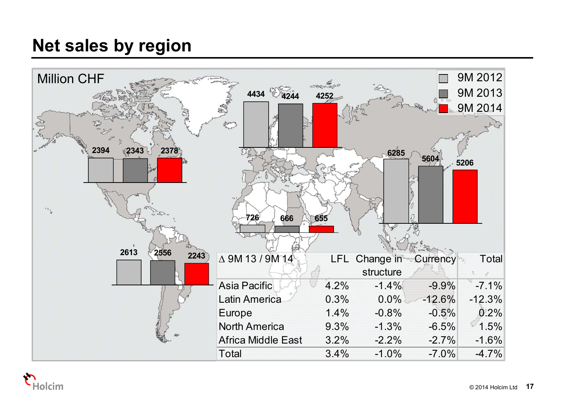# **Net sales by region**



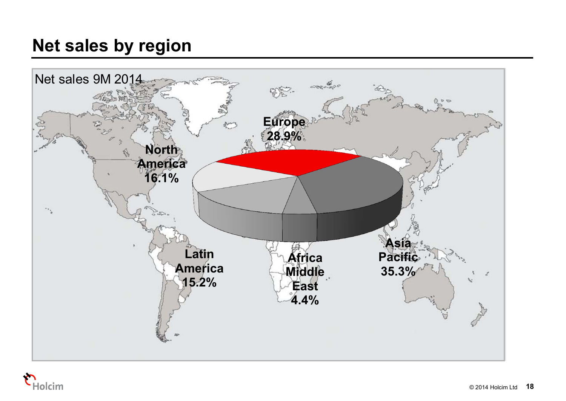# **Net sales by region**



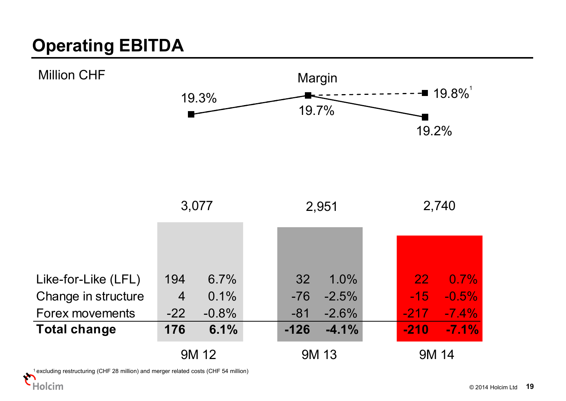# **Operating EBITDA**



1 excluding restructuring (CHF 28 million) and merger related costs (CHF 54 million)

Holcim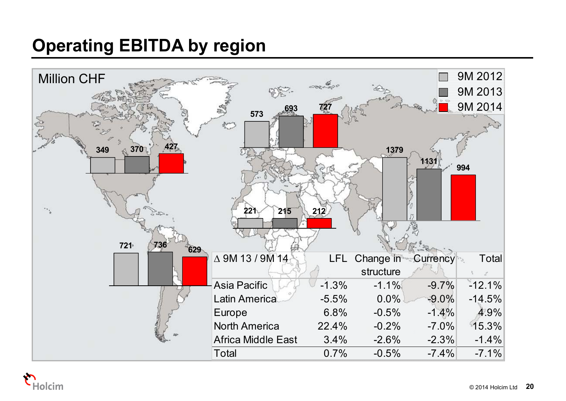# **Operating EBITDA by region**



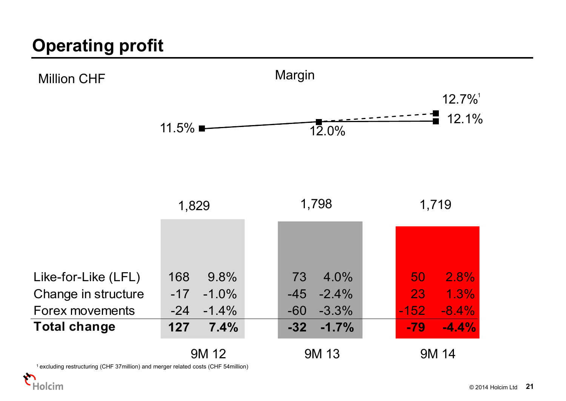# **Operating profit**



1 excluding restructuring (CHF 37million) and merger related costs (CHF 54million)

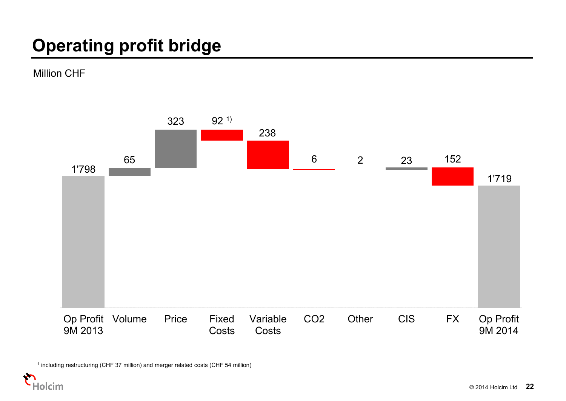# **Operating profit bridge**

Million CHF



1 including restructuring (CHF 37 million) and merger related costs (CHF 54 million)

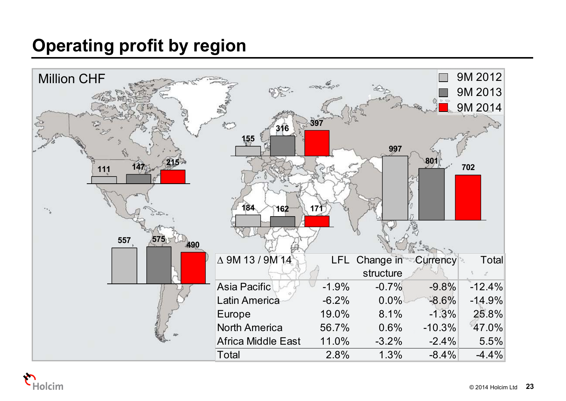# **Operating profit by region**



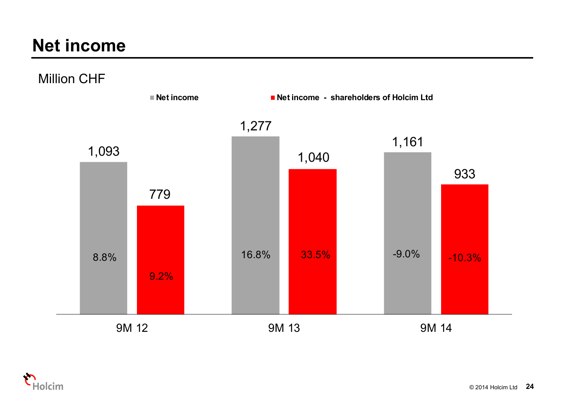## **Net income**

Million CHF



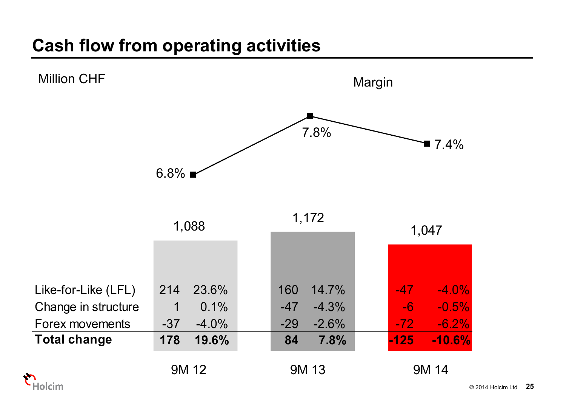# **Cash flow from operating activities**



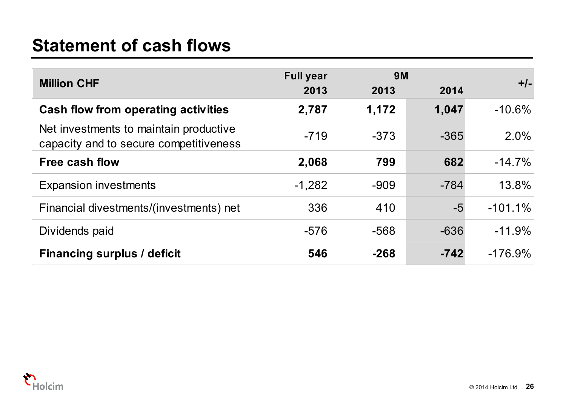## **Statement of cash flows**

|                                                                                  | <b>Full year</b> | <b>9M</b> |        |           |
|----------------------------------------------------------------------------------|------------------|-----------|--------|-----------|
| <b>Million CHF</b>                                                               | 2013             | 2013      | 2014   | $+/-$     |
| Cash flow from operating activities                                              | 2,787            | 1,172     | 1,047  | $-10.6%$  |
| Net investments to maintain productive<br>capacity and to secure competitiveness | $-719$           | $-373$    | $-365$ | 2.0%      |
| <b>Free cash flow</b>                                                            | 2,068            | 799       | 682    | $-14.7%$  |
| <b>Expansion investments</b>                                                     | $-1,282$         | $-909$    | $-784$ | 13.8%     |
| Financial divestments/(investments) net                                          | 336              | 410       | $-5$   | $-101.1%$ |
| Dividends paid                                                                   | $-576$           | $-568$    | $-636$ | $-11.9%$  |
| <b>Financing surplus / deficit</b>                                               | 546              | $-268$    | $-742$ | $-176.9%$ |

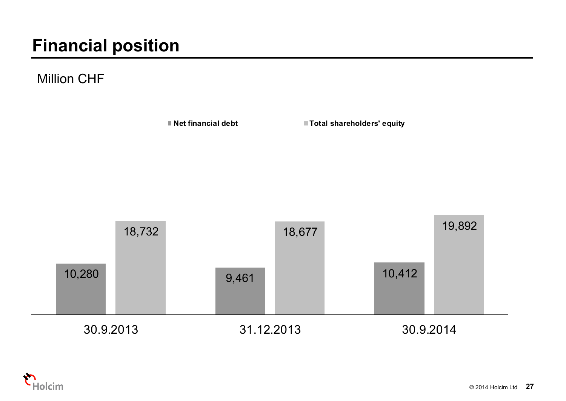# **Financial position**

#### Million CHF



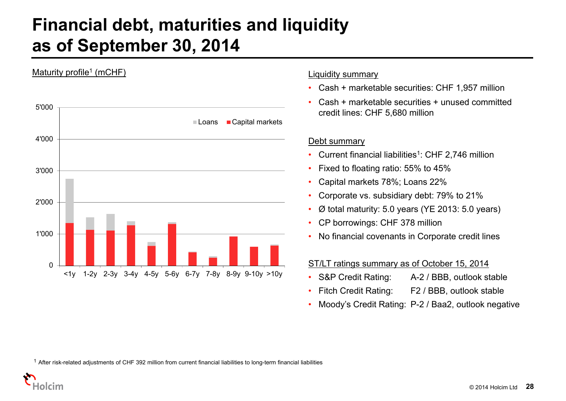### **Financial debt, maturities and liquidity as of September 30, 2014**



#### Liquidity summary

- Cash + marketable securities: CHF 1,957 million
- • Cash + marketable securities + unused committed credit lines: CHF 5,680 million

#### Debt summary

- Current financial liabilities<sup>1</sup>: CHF 2,746 million
- •Fixed to floating ratio: 55% to 45%
- •Capital markets 78%; Loans 22%
- •Corporate vs. subsidiary debt: 79% to 21%
- •Ø total maturity: 5.0 years (YE 2013: 5.0 years)
- CP borrowings: CHF 378 million
- No financial covenants in Corporate credit lines

#### ST/LT ratings summary as of October 15, 2014

- S&P Credit Rating: A-2 / BBB, outlook stable
- •Fitch Credit Rating: F2 / BBB, outlook stable
- •Moody's Credit Rating: P-2 / Baa2, outlook negative

 $1$  After risk-related adjustments of CHF 392 million from current financial liabilities to long-term financial liabilities

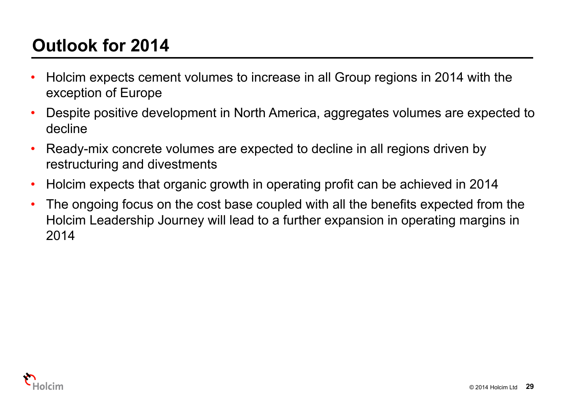# **Outlook for 2014**

- • Holcim expects cement volumes to increase in all Group regions in 2014 with the exception of Europe
- • Despite positive development in North America, aggregates volumes are expected to decline
- • Ready-mix concrete volumes are expected to decline in all regions driven by restructuring and divestments
- •Holcim expects that organic growth in operating profit can be achieved in 2014
- • The ongoing focus on the cost base coupled with all the benefits expected from the Holcim Leadership Journey will lead to a further expansion in operating margins in 2014

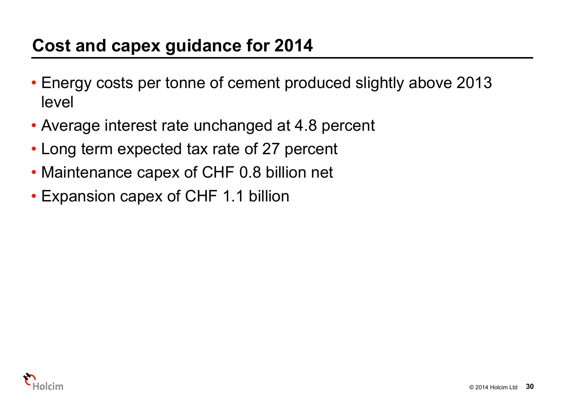# **Cost and capex guidance for 2014**

- Energy costs per tonne of cement produced slightly above 2013 level
- Average interest rate unchanged at 4.8 percent
- Long term expected tax rate of 27 percent
- Maintenance capex of CHF 0.8 billion net
- Expansion capex of CHF 1.1 billion

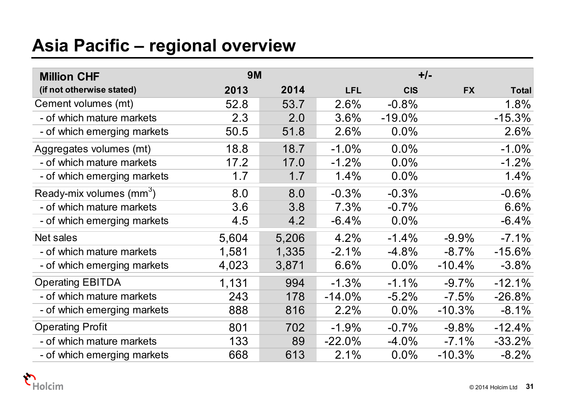# **Asia Pacific – regional overview**

| <b>Million CHF</b>                   | <b>9M</b> |       |            |            | $+/-$     |              |
|--------------------------------------|-----------|-------|------------|------------|-----------|--------------|
| (if not otherwise stated)            | 2013      | 2014  | <b>LFL</b> | <b>CIS</b> | <b>FX</b> | <b>Total</b> |
| Cement volumes (mt)                  | 52.8      | 53.7  | 2.6%       | $-0.8%$    |           | 1.8%         |
| - of which mature markets            | 2.3       | 2.0   | 3.6%       | $-19.0\%$  |           | $-15.3%$     |
| - of which emerging markets          | 50.5      | 51.8  | 2.6%       | 0.0%       |           | 2.6%         |
| Aggregates volumes (mt)              | 18.8      | 18.7  | $-1.0%$    | 0.0%       |           | $-1.0%$      |
| - of which mature markets            | 17.2      | 17.0  | $-1.2%$    | $0.0\%$    |           | $-1.2%$      |
| - of which emerging markets          | 1.7       | 1.7   | 1.4%       | 0.0%       |           | 1.4%         |
| Ready-mix volumes (mm <sup>3</sup> ) | 8.0       | 8.0   | $-0.3%$    | $-0.3%$    |           | $-0.6%$      |
| - of which mature markets            | 3.6       | 3.8   | 7.3%       | $-0.7%$    |           | 6.6%         |
| - of which emerging markets          | 4.5       | 4.2   | $-6.4%$    | $0.0\%$    |           | $-6.4%$      |
| Net sales                            | 5,604     | 5,206 | 4.2%       | $-1.4%$    | $-9.9%$   | $-7.1%$      |
| - of which mature markets            | 1,581     | 1,335 | $-2.1%$    | $-4.8%$    | $-8.7%$   | $-15.6%$     |
| - of which emerging markets          | 4,023     | 3,871 | 6.6%       | $0.0\%$    | $-10.4%$  | $-3.8%$      |
| <b>Operating EBITDA</b>              | 1,131     | 994   | $-1.3%$    | $-1.1%$    | $-9.7%$   | $-12.1%$     |
| - of which mature markets            | 243       | 178   | $-14.0%$   | $-5.2\%$   | $-7.5%$   | $-26.8%$     |
| - of which emerging markets          | 888       | 816   | 2.2%       | $0.0\%$    | $-10.3%$  | $-8.1%$      |
| <b>Operating Profit</b>              | 801       | 702   | $-1.9%$    | $-0.7%$    | $-9.8%$   | $-12.4%$     |
| - of which mature markets            | 133       | 89    | $-22.0%$   | $-4.0%$    | $-7.1%$   | $-33.2%$     |
| - of which emerging markets          | 668       | 613   | 2.1%       | 0.0%       | $-10.3%$  | $-8.2%$      |

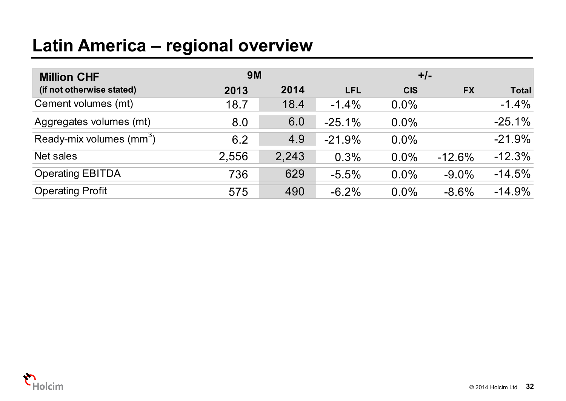# **Latin America – regional overview**

| <b>Million CHF</b>                   | 9M    |       |            | $+/-$      |           |              |
|--------------------------------------|-------|-------|------------|------------|-----------|--------------|
| (if not otherwise stated)            | 2013  | 2014  | <b>LFL</b> | <b>CIS</b> | <b>FX</b> | <b>Total</b> |
| Cement volumes (mt)                  | 18.7  | 18.4  | $-1.4\%$   | $0.0\%$    |           | $-1.4%$      |
| Aggregates volumes (mt)              | 8.0   | 6.0   | $-25.1%$   | $0.0\%$    |           | $-25.1%$     |
| Ready-mix volumes (mm <sup>3</sup> ) | 6.2   | 4.9   | $-21.9%$   | $0.0\%$    |           | $-21.9%$     |
| Net sales                            | 2,556 | 2,243 | 0.3%       | $0.0\%$    | $-12.6%$  | $-12.3%$     |
| <b>Operating EBITDA</b>              | 736   | 629   | $-5.5%$    | $0.0\%$    | $-9.0\%$  | $-14.5%$     |
| <b>Operating Profit</b>              | 575   | 490   | $-6.2%$    | $0.0\%$    | $-8.6%$   | $-14.9%$     |

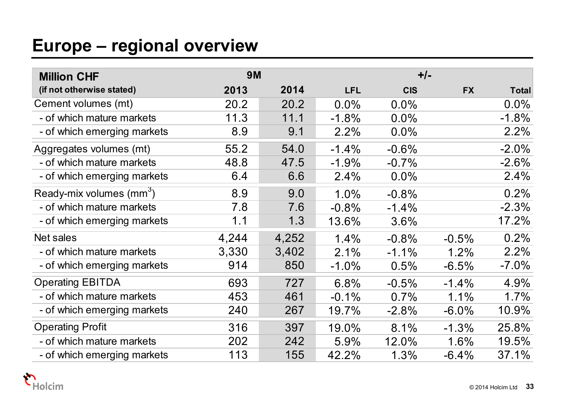# **Europe – regional overview**

| <b>Million CHF</b>                   | <b>9M</b> |       |            |            | $+/-$     |              |
|--------------------------------------|-----------|-------|------------|------------|-----------|--------------|
| (if not otherwise stated)            | 2013      | 2014  | <b>LFL</b> | <b>CIS</b> | <b>FX</b> | <b>Total</b> |
| Cement volumes (mt)                  | 20.2      | 20.2  | $0.0\%$    | $0.0\%$    |           | $0.0\%$      |
| - of which mature markets            | 11.3      | 11.1  | $-1.8%$    | 0.0%       |           | $-1.8%$      |
| - of which emerging markets          | 8.9       | 9.1   | 2.2%       | $0.0\%$    |           | 2.2%         |
| Aggregates volumes (mt)              | 55.2      | 54.0  | $-1.4%$    | $-0.6%$    |           | $-2.0%$      |
| - of which mature markets            | 48.8      | 47.5  | $-1.9%$    | $-0.7%$    |           | $-2.6%$      |
| - of which emerging markets          | 6.4       | 6.6   | 2.4%       | $0.0\%$    |           | 2.4%         |
| Ready-mix volumes (mm <sup>3</sup> ) | 8.9       | 9.0   | 1.0%       | $-0.8%$    |           | 0.2%         |
| - of which mature markets            | 7.8       | 7.6   | $-0.8%$    | $-1.4%$    |           | $-2.3%$      |
| - of which emerging markets          | 1.1       | 1.3   | 13.6%      | 3.6%       |           | 17.2%        |
| Net sales                            | 4,244     | 4,252 | 1.4%       | $-0.8%$    | $-0.5%$   | 0.2%         |
| - of which mature markets            | 3,330     | 3,402 | 2.1%       | $-1.1\%$   | 1.2%      | 2.2%         |
| - of which emerging markets          | 914       | 850   | $-1.0%$    | 0.5%       | $-6.5%$   | $-7.0\%$     |
| <b>Operating EBITDA</b>              | 693       | 727   | 6.8%       | $-0.5%$    | $-1.4%$   | 4.9%         |
| - of which mature markets            | 453       | 461   | $-0.1%$    | 0.7%       | 1.1%      | 1.7%         |
| - of which emerging markets          | 240       | 267   | 19.7%      | $-2.8%$    | $-6.0\%$  | 10.9%        |
| <b>Operating Profit</b>              | 316       | 397   | 19.0%      | 8.1%       | $-1.3%$   | 25.8%        |
| - of which mature markets            | 202       | 242   | 5.9%       | 12.0%      | 1.6%      | 19.5%        |
| - of which emerging markets          | 113       | 155   | 42.2%      | 1.3%       | $-6.4%$   | 37.1%        |

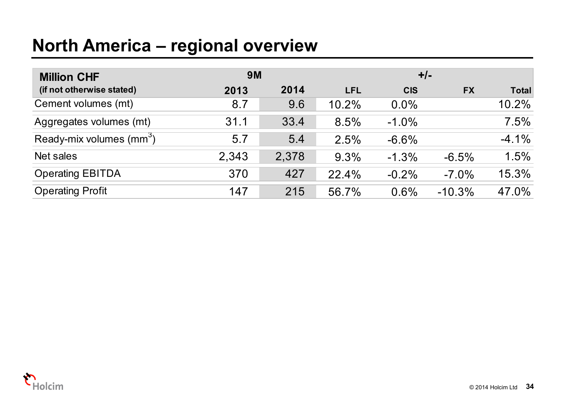## **North America – regional overview**

| <b>Million CHF</b>                   | <b>9M</b> |       |            | $+/-$      |           |              |
|--------------------------------------|-----------|-------|------------|------------|-----------|--------------|
| (if not otherwise stated)            | 2013      | 2014  | <b>LFL</b> | <b>CIS</b> | <b>FX</b> | <b>Total</b> |
| Cement volumes (mt)                  | 8.7       | 9.6   | 10.2%      | $0.0\%$    |           | 10.2%        |
| Aggregates volumes (mt)              | 31.1      | 33.4  | 8.5%       | $-1.0\%$   |           | 7.5%         |
| Ready-mix volumes (mm <sup>3</sup> ) | 5.7       | 5.4   | 2.5%       | $-6.6%$    |           | $-4.1%$      |
| Net sales                            | 2,343     | 2,378 | 9.3%       | $-1.3%$    | $-6.5%$   | 1.5%         |
| <b>Operating EBITDA</b>              | 370       | 427   | 22.4%      | $-0.2%$    | $-7.0\%$  | 15.3%        |
| <b>Operating Profit</b>              | 147       | 215   | 56.7%      | 0.6%       | $-10.3%$  | 47.0%        |

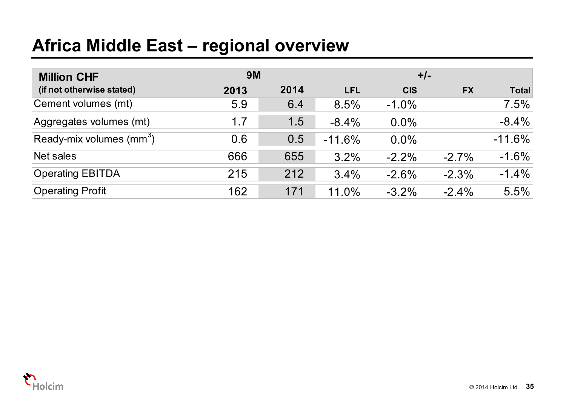# **Africa Middle East – regional overview**

| <b>Million CHF</b>                   | <b>9M</b> |      |            | $+/-$      |           |              |
|--------------------------------------|-----------|------|------------|------------|-----------|--------------|
| (if not otherwise stated)            | 2013      | 2014 | <b>LFL</b> | <b>CIS</b> | <b>FX</b> | <b>Total</b> |
| Cement volumes (mt)                  | 5.9       | 6.4  | 8.5%       | $-1.0\%$   |           | 7.5%         |
| Aggregates volumes (mt)              | 1.7       | 1.5  | $-8.4%$    | 0.0%       |           | $-8.4%$      |
| Ready-mix volumes (mm <sup>3</sup> ) | 0.6       | 0.5  | $-11.6%$   | $0.0\%$    |           | $-11.6%$     |
| Net sales                            | 666       | 655  | 3.2%       | $-2.2\%$   | $-2.7\%$  | $-1.6%$      |
| <b>Operating EBITDA</b>              | 215       | 212  | 3.4%       | $-2.6%$    | $-2.3%$   | $-1.4%$      |
| <b>Operating Profit</b>              | 162       | 171  | 11.0%      | $-3.2\%$   | $-2.4\%$  | 5.5%         |

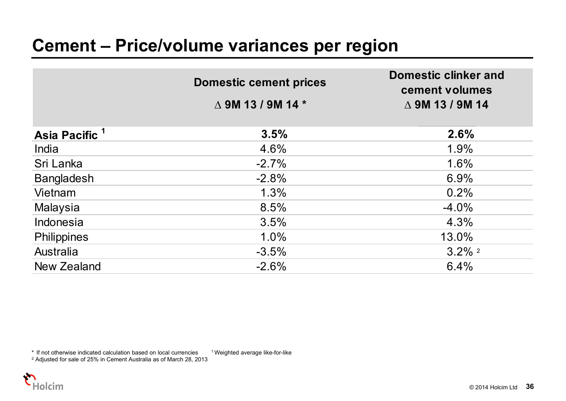|                           | <b>Domestic cement prices</b>        | <b>Domestic clinker and</b><br>cement volumes |
|---------------------------|--------------------------------------|-----------------------------------------------|
|                           | $\triangle$ 9M 13 / 9M 14 $^{\star}$ | $\triangle$ 9M 13 / 9M 14                     |
| Asia Pacific <sup>1</sup> | 3.5%                                 | 2.6%                                          |
| India                     | 4.6%                                 | 1.9%                                          |
| Sri Lanka                 | $-2.7%$                              | 1.6%                                          |
| <b>Bangladesh</b>         | $-2.8%$                              | 6.9%                                          |
| Vietnam                   | 1.3%                                 | 0.2%                                          |
| Malaysia                  | 8.5%                                 | $-4.0\%$                                      |
| Indonesia                 | 3.5%                                 | 4.3%                                          |
| <b>Philippines</b>        | 1.0%                                 | 13.0%                                         |
| Australia                 | $-3.5%$                              | $3.2\%$ <sup>2</sup>                          |
| New Zealand               | $-2.6%$                              | 6.4%                                          |

 $*$  If not otherwise indicated calculation based on local currencies  $1$  Weighted average like-for-like

2 Adjusted for sale of 25% in Cement Australia as of March 28, 2013

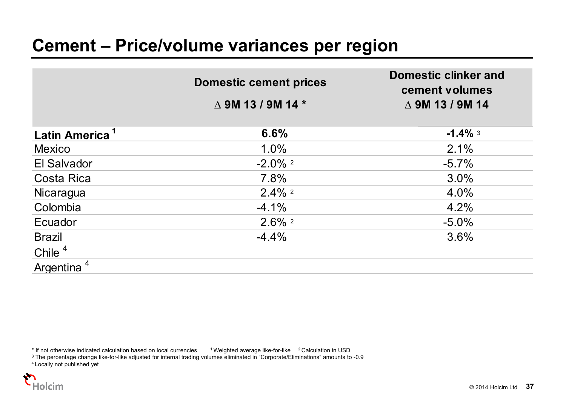|                            | <b>Domestic cement prices</b> | <b>Domestic clinker and</b><br>cement volumes |
|----------------------------|-------------------------------|-----------------------------------------------|
|                            | $\triangle$ 9M 13 / 9M 14 $*$ | $\triangle$ 9M 13 / 9M 14                     |
| Latin America <sup>1</sup> | 6.6%                          | $-1.4\%$ 3                                    |
| <b>Mexico</b>              | 1.0%                          | 2.1%                                          |
| El Salvador                | $-2.0\%$ <sup>2</sup>         | $-5.7\%$                                      |
| <b>Costa Rica</b>          | 7.8%                          | 3.0%                                          |
| Nicaragua                  | $2.4\%$ <sup>2</sup>          | 4.0%                                          |
| Colombia                   | $-4.1%$                       | 4.2%                                          |
| Ecuador                    | $2.6\%$ <sup>2</sup>          | $-5.0\%$                                      |
| <b>Brazil</b>              | $-4.4%$                       | 3.6%                                          |
| Chile $4$                  |                               |                                               |
| Argentina <sup>4</sup>     |                               |                                               |

\* If not otherwise indicated calculation based on local currencies and Weighted average like-for-like a 2 Calculation in USD<br><sup>3</sup> The percentage change like-for-like adjusted for internal trading volumes eliminated in "Corp

4 Locally not published yet

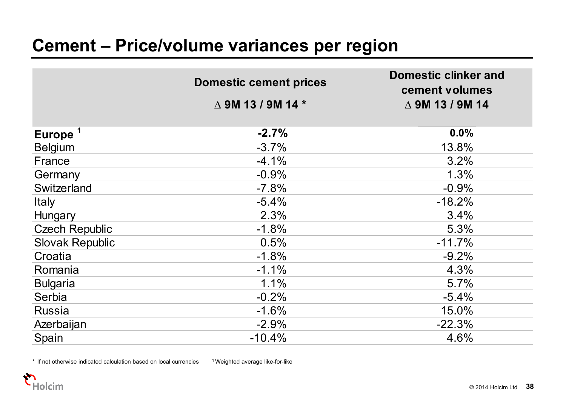|                        | <b>Domestic cement prices</b>        | <b>Domestic clinker and</b><br>cement volumes |
|------------------------|--------------------------------------|-----------------------------------------------|
|                        | $\triangle$ 9M 13 / 9M 14 $^{\star}$ | $\triangle$ 9M 13 / 9M 14                     |
|                        |                                      |                                               |
| Europe <sup>1</sup>    | $-2.7%$                              | 0.0%                                          |
| <b>Belgium</b>         | $-3.7%$                              | 13.8%                                         |
| France                 | $-4.1%$                              | 3.2%                                          |
| Germany                | $-0.9%$                              | 1.3%                                          |
| Switzerland            | $-7.8%$                              | $-0.9%$                                       |
| <b>Italy</b>           | $-5.4%$                              | $-18.2%$                                      |
| Hungary                | 2.3%                                 | 3.4%                                          |
| <b>Czech Republic</b>  | $-1.8%$                              | 5.3%                                          |
| <b>Slovak Republic</b> | 0.5%                                 | $-11.7%$                                      |
| Croatia                | $-1.8%$                              | $-9.2%$                                       |
| Romania                | $-1.1%$                              | 4.3%                                          |
| <b>Bulgaria</b>        | 1.1%                                 | 5.7%                                          |
| Serbia                 | $-0.2%$                              | $-5.4%$                                       |
| <b>Russia</b>          | $-1.6%$                              | 15.0%                                         |
| Azerbaijan             | $-2.9%$                              | $-22.3%$                                      |
| Spain                  | $-10.4%$                             | 4.6%                                          |

 $*$  If not otherwise indicated calculation based on local currencies  $1$  Weighted average like-for-like

.<br>Holcim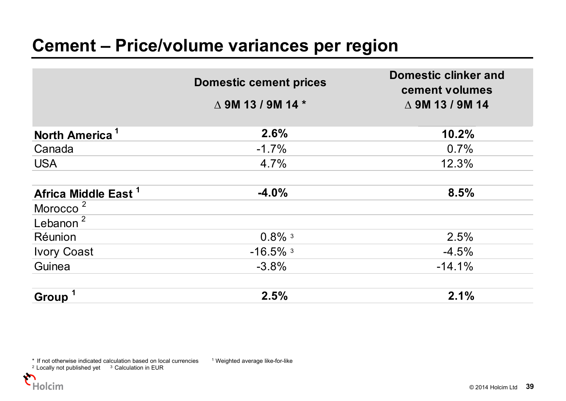|                                 | <b>Domestic cement prices</b> | <b>Domestic clinker and</b><br>cement volumes |
|---------------------------------|-------------------------------|-----------------------------------------------|
|                                 | $\triangle$ 9M 13 / 9M 14 $*$ | $\triangle$ 9M 13 / 9M 14                     |
| North America <sup>1</sup>      | 2.6%                          | 10.2%                                         |
| Canada                          | $-1.7\%$                      | 0.7%                                          |
| <b>USA</b>                      | 4.7%                          | 12.3%                                         |
| Africa Middle East <sup>1</sup> | $-4.0%$                       | 8.5%                                          |
| Morocco <sup>2</sup>            |                               |                                               |
| Lebanon $^2$                    |                               |                                               |
| Réunion                         | $0.8\%$ <sup>3</sup>          | 2.5%                                          |
| <b>Ivory Coast</b>              | $-16.5\%$ <sup>3</sup>        | $-4.5%$                                       |
| Guinea                          | $-3.8%$                       | $-14.1%$                                      |
| <b>Group</b>                    | 2.5%                          | 2.1%                                          |

\* If not otherwise indicated calculation based on local currencies 1 Weighted average like-for-like

 $2$  Locally not published yet  $3$  Calculation in EUR

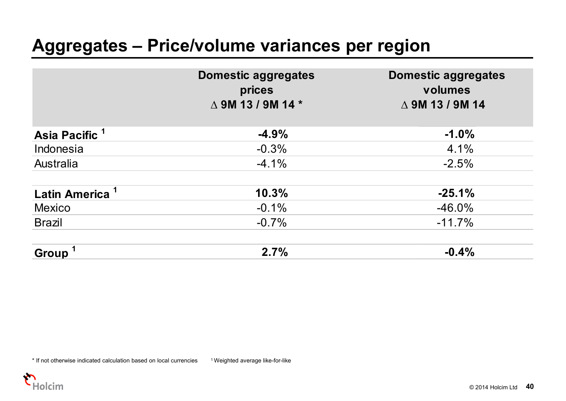#### **Aggregates – Price/volume variances per region**

|                            | <b>Domestic aggregates</b><br>prices<br>$\triangle$ 9M 13 / 9M 14 $*$ | <b>Domestic aggregates</b><br>volumes<br>$\triangle$ 9M 13 / 9M 14 |
|----------------------------|-----------------------------------------------------------------------|--------------------------------------------------------------------|
| Asia Pacific <sup>1</sup>  | $-4.9%$                                                               | $-1.0%$                                                            |
| Indonesia                  | $-0.3%$                                                               | 4.1%                                                               |
| Australia                  | $-4.1\%$                                                              | $-2.5%$                                                            |
| Latin America <sup>1</sup> | 10.3%                                                                 | $-25.1%$                                                           |
| <b>Mexico</b>              | $-0.1%$                                                               | $-46.0\%$                                                          |
| <b>Brazil</b>              | $-0.7%$                                                               | $-11.7%$                                                           |
| Group <sup>1</sup>         | 2.7%                                                                  | $-0.4%$                                                            |

\* If not otherwise indicated calculation based on local currencies <sup>1</sup> Weighted average like-for-like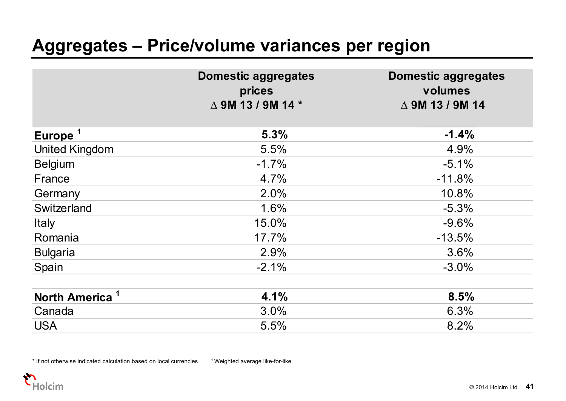### **Aggregates – Price/volume variances per region**

|                            | <b>Domestic aggregates</b><br>prices<br>$\triangle$ 9M 13 / 9M 14 $^{\star}$ | <b>Domestic aggregates</b><br>volumes<br>$\triangle$ 9M 13 / 9M 14 |
|----------------------------|------------------------------------------------------------------------------|--------------------------------------------------------------------|
| Europe <sup>1</sup>        | 5.3%                                                                         | $-1.4%$                                                            |
| <b>United Kingdom</b>      | 5.5%                                                                         | 4.9%                                                               |
| <b>Belgium</b>             | $-1.7%$                                                                      | $-5.1%$                                                            |
| France                     | 4.7%                                                                         | $-11.8%$                                                           |
| Germany                    | 2.0%                                                                         | 10.8%                                                              |
| Switzerland                | 1.6%                                                                         | $-5.3%$                                                            |
| Italy                      | 15.0%                                                                        | $-9.6%$                                                            |
| Romania                    | 17.7%                                                                        | $-13.5%$                                                           |
| <b>Bulgaria</b>            | 2.9%                                                                         | 3.6%                                                               |
| Spain                      | $-2.1%$                                                                      | $-3.0%$                                                            |
| North America <sup>1</sup> | 4.1%                                                                         | 8.5%                                                               |
| Canada                     | 3.0%                                                                         | 6.3%                                                               |
| <b>USA</b>                 | 5.5%                                                                         | 8.2%                                                               |

\* If not otherwise indicated calculation based on local currencies 1 Weighted average like-for-like

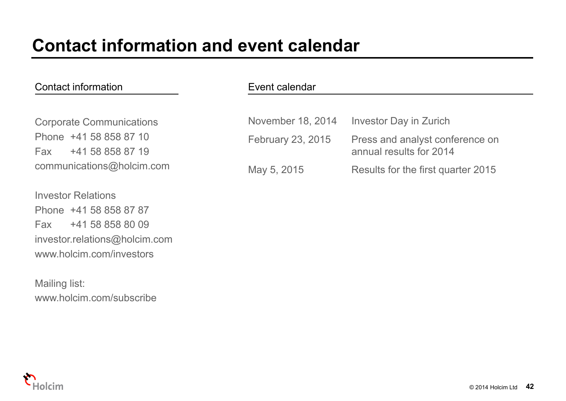#### Contact information

Corporate Communications Phone +41 58 858 87 10Fax +41 58 858 87 19communications@holcim.com

Investor RelationsPhone +41 58 858 87 87Fax +41 58 858 80 09investor.relations@holcim.com www.holcim.com/investors

Mailing list: www.holcim.com/subscribe

#### Event calendar

| November 18, 2014 | Investor Day in Zurich                                     |
|-------------------|------------------------------------------------------------|
| February 23, 2015 | Press and analyst conference on<br>annual results for 2014 |
| May 5, 2015       | Results for the first quarter 2015                         |

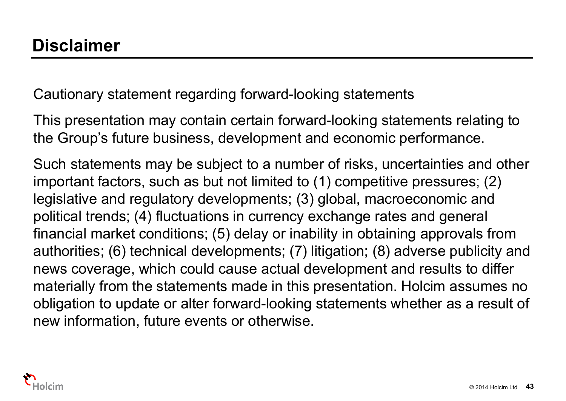Cautionary statement regarding forward-looking statements

This presentation may contain certain forward-looking statements relating to the Group's future business, development and economic performance.

Such statements may be subject to a number of risks, uncertainties and other important factors, such as but not limited to (1) competitive pressures; (2) legislative and regulatory developments; (3) global, macroeconomic and political trends; (4) fluctuations in currency exchange rates and general financial market conditions; (5) delay or inability in obtaining approvals from authorities; (6) technical developments; (7) litigation; (8) adverse publicity and news coverage, which could cause actual development and results to differ materially from the statements made in this presentation. Holcim assumes no obligation to update or alter forward-looking statements whether as a result of new information, future events or otherwise.